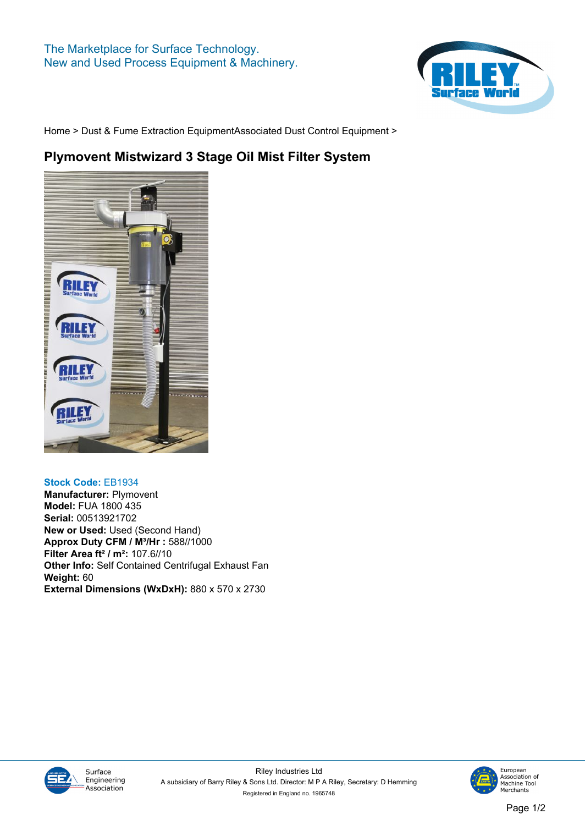

**[Home](https://www.rileysurfaceworld.co.uk) > [Dust & Fume Extraction Equipment](https://www.rileysurfaceworld.co.uk/dust-fume.asp)[Associated Dust Control Equipment](https://www.rileysurfaceworld.co.uk/dust-associated.asp) >**

## **Plymovent Mistwizard 3 Stage Oil Mist Filter System**



## **Stock Code: EB1934**

**Manufacturer: Plymovent Model: FUA 1800 435 Serial: 00513921702 New or Used: Used (Second Hand) Approx Duty CFM / M³/Hr : 588//1000 Filter Area ft² / m²: 107.6//10 Other Info: Self Contained Centrifugal Exhaust Fan Weight: 60 External Dimensions (WxDxH): 880 x 570 x 2730**